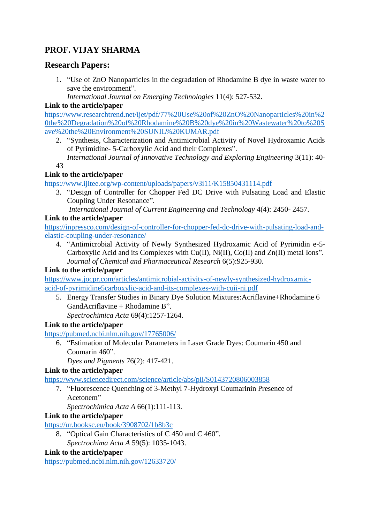# **PROF. VIJAY SHARMA**

# **Research Papers:**

- 1. "Use of ZnO Nanoparticles in the degradation of Rhodamine B dye in waste water to save the environment".
	- *International Journal on Emerging Technologies* 11(4): 527-532.

### **Link to the article/paper**

[https://www.researchtrend.net/ijet/pdf/77%20Use%20of%20ZnO%20Nanoparticles%20in%2](https://www.researchtrend.net/ijet/pdf/77%20Use%20of%20ZnO%20Nanoparticles%20in%20the%20Degradation%20of%20Rhodamine%20B%20dye%20in%20Wastewater%20to%20Save%20the%20Environment%20SUNIL%20KUMAR.pdf) [0the%20Degradation%20of%20Rhodamine%20B%20dye%20in%20Wastewater%20to%20S](https://www.researchtrend.net/ijet/pdf/77%20Use%20of%20ZnO%20Nanoparticles%20in%20the%20Degradation%20of%20Rhodamine%20B%20dye%20in%20Wastewater%20to%20Save%20the%20Environment%20SUNIL%20KUMAR.pdf) [ave%20the%20Environment%20SUNIL%20KUMAR.pdf](https://www.researchtrend.net/ijet/pdf/77%20Use%20of%20ZnO%20Nanoparticles%20in%20the%20Degradation%20of%20Rhodamine%20B%20dye%20in%20Wastewater%20to%20Save%20the%20Environment%20SUNIL%20KUMAR.pdf)

2. "Synthesis, Characterization and Antimicrobial Activity of Novel Hydroxamic Acids of Pyrimidine- 5-Carboxylic Acid and their Complexes".

 *International Journal of Innovative Technology and Exploring Engineering* 3(11): 40- 43

### **Link to the article/paper**

<https://www.ijitee.org/wp-content/uploads/papers/v3i11/K15850431114.pdf>

3. "Design of Controller for Chopper Fed DC Drive with Pulsating Load and Elastic Coupling Under Resonance".

 *International Journal of Current Engineering and Technology* 4(4): 2450- 2457.

### **Link to the article/paper**

[https://inpressco.com/design-of-controller-for-chopper-fed-dc-drive-with-pulsating-load-and](https://inpressco.com/design-of-controller-for-chopper-fed-dc-drive-with-pulsating-load-and-elastic-coupling-under-resonance/)[elastic-coupling-under-resonance/](https://inpressco.com/design-of-controller-for-chopper-fed-dc-drive-with-pulsating-load-and-elastic-coupling-under-resonance/)

4. "Antimicrobial Activity of Newly Synthesized Hydroxamic Acid of Pyrimidin e-5- Carboxylic Acid and its Complexes with Cu(II), Ni(II), Co(II) and Zn(II) metal Ions".  *Journal of Chemical and Pharmaceutical Research* 6(5):925-930.

### **Link to the article/paper**

[https://www.jocpr.com/articles/antimicrobial-activity-of-newly-synthesized-hydroxamic](https://www.jocpr.com/articles/antimicrobial-activity-of-newly-synthesized-hydroxamic-acid-of-pyrimidine5carboxylic-acid-and-its-complexes-with-cuii-ni.pdf)[acid-of-pyrimidine5carboxylic-acid-and-its-complexes-with-cuii-ni.pdf](https://www.jocpr.com/articles/antimicrobial-activity-of-newly-synthesized-hydroxamic-acid-of-pyrimidine5carboxylic-acid-and-its-complexes-with-cuii-ni.pdf)

5. Energy Transfer Studies in Binary Dye Solution Mixtures:Acriflavine+Rhodamine 6 GandAcriflavine + Rhodamine B".

*Spectrochimica Acta* 69(4):1257-1264.

### **Link to the article/paper**

<https://pubmed.ncbi.nlm.nih.gov/17765006/>

6. "Estimation of Molecular Parameters in Laser Grade Dyes: Coumarin 450 and Coumarin 460".

*Dyes and Pigments* 76(2): 417-421.

### **Link to the article/paper**

<https://www.sciencedirect.com/science/article/abs/pii/S0143720806003858>

7. "Fluorescence Quenching of 3-Methyl 7-Hydroxyl Coumarinin Presence of Acetonem"

*Spectrochimica Acta A* 66(1):111-113.

### **Link to the article/paper**

<https://ur.booksc.eu/book/3908702/1b8b3c>

- 8. "Optical Gain Characteristics of C 450 and C 460".
	- *Spectrochima Acta A* 59(5): 1035-1043.

### **Link to the article/paper**

<https://pubmed.ncbi.nlm.nih.gov/12633720/>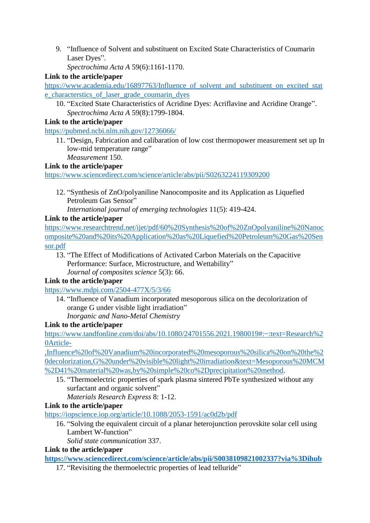9. "Influence of Solvent and substituent on Excited State Characteristics of Coumarin Laser Dyes".

*Spectrochima Acta A* 59(6):1161-1170.

### **Link to the article/paper**

[https://www.academia.edu/16897763/Influence\\_of\\_solvent\\_and\\_substituent\\_on\\_excited\\_stat](https://www.academia.edu/16897763/Influence_of_solvent_and_substituent_on_excited_state_characterstics_of_laser_grade_coumarin_dyes) [e\\_characterstics\\_of\\_laser\\_grade\\_coumarin\\_dyes](https://www.academia.edu/16897763/Influence_of_solvent_and_substituent_on_excited_state_characterstics_of_laser_grade_coumarin_dyes)

10. "Excited State Characteristics of Acridine Dyes: Acriflavine and Acridine Orange". *Spectrochima Acta A* 59(8):1799-1804.

#### **Link to the article/paper**

<https://pubmed.ncbi.nlm.nih.gov/12736066/>

11. "Design, Fabrication and calibaration of low cost thermopower measurement set up In low-mid temperature range" *Measurement* 150.

### **Link to the article/paper**

<https://www.sciencedirect.com/science/article/abs/pii/S0263224119309200>

12. "Synthesis of ZnO/polyaniline Nanocomposite and its Application as Liquefied Petroleum Gas Sensor"

*International journal of emerging technologies* 11(5): 419-424.

### **Link to the article/paper**

[https://www.researchtrend.net/ijet/pdf/60%20Synthesis%20of%20ZnOpolyaniline%20Nanoc](https://www.researchtrend.net/ijet/pdf/60%20Synthesis%20of%20ZnOpolyaniline%20Nanocomposite%20and%20its%20Application%20as%20Liquefied%20Petroleum%20Gas%20Sensor.pdf) [omposite%20and%20its%20Application%20as%20Liquefied%20Petroleum%20Gas%20Sen](https://www.researchtrend.net/ijet/pdf/60%20Synthesis%20of%20ZnOpolyaniline%20Nanocomposite%20and%20its%20Application%20as%20Liquefied%20Petroleum%20Gas%20Sensor.pdf) [sor.pdf](https://www.researchtrend.net/ijet/pdf/60%20Synthesis%20of%20ZnOpolyaniline%20Nanocomposite%20and%20its%20Application%20as%20Liquefied%20Petroleum%20Gas%20Sensor.pdf)

13. "The Effect of Modifications of Activated Carbon Materials on the Capacitive Performance: Surface, Microstructure, and Wettability"

*Journal of composites science* 5(3): 66.

### **Link to the article/paper**

<https://www.mdpi.com/2504-477X/5/3/66>

14. "Influence of Vanadium incorporated mesoporous silica on the decolorization of orange G under visible light irradiation" *Inorganic and Nano-Metal Chemistry*

### **Link to the article/paper**

[https://www.tandfonline.com/doi/abs/10.1080/24701556.2021.1980019#:~:text=Research%2](https://www.tandfonline.com/doi/abs/10.1080/24701556.2021.1980019#:~:text=Research%20Article-,Influence%20of%20Vanadium%20incorporated%20mesoporous%20silica%20on%20the%20decolorization,G%20under%20visible%20light%20irradiation&text=Mesoporous%20MCM%2D41%20material%20was,by%20simple%20co%2Dprecipitation%20method) [0Article-](https://www.tandfonline.com/doi/abs/10.1080/24701556.2021.1980019#:~:text=Research%20Article-,Influence%20of%20Vanadium%20incorporated%20mesoporous%20silica%20on%20the%20decolorization,G%20under%20visible%20light%20irradiation&text=Mesoporous%20MCM%2D41%20material%20was,by%20simple%20co%2Dprecipitation%20method)

[,Influence%20of%20Vanadium%20incorporated%20mesoporous%20silica%20on%20the%2](https://www.tandfonline.com/doi/abs/10.1080/24701556.2021.1980019#:~:text=Research%20Article-,Influence%20of%20Vanadium%20incorporated%20mesoporous%20silica%20on%20the%20decolorization,G%20under%20visible%20light%20irradiation&text=Mesoporous%20MCM%2D41%20material%20was,by%20simple%20co%2Dprecipitation%20method) [0decolorization,G%20under%20visible%20light%20irradiation&text=Mesoporous%20MCM](https://www.tandfonline.com/doi/abs/10.1080/24701556.2021.1980019#:~:text=Research%20Article-,Influence%20of%20Vanadium%20incorporated%20mesoporous%20silica%20on%20the%20decolorization,G%20under%20visible%20light%20irradiation&text=Mesoporous%20MCM%2D41%20material%20was,by%20simple%20co%2Dprecipitation%20method) [%2D41%20material%20was,by%20simple%20co%2Dprecipitation%20method.](https://www.tandfonline.com/doi/abs/10.1080/24701556.2021.1980019#:~:text=Research%20Article-,Influence%20of%20Vanadium%20incorporated%20mesoporous%20silica%20on%20the%20decolorization,G%20under%20visible%20light%20irradiation&text=Mesoporous%20MCM%2D41%20material%20was,by%20simple%20co%2Dprecipitation%20method)

15. "Thermoelectric properties of spark plasma sintered PbTe synthesized without any surfactant and organic solvent"

*Materials Research Express* 8: 1-12.

### **Link to the article/paper**

<https://iopscience.iop.org/article/10.1088/2053-1591/ac0d2b/pdf>

16. "Solving the equivalent circuit of a planar heterojunction perovskite solar cell using Lambert W-function"

*Solid state communication* 337.

#### **Link to the article/paper**

**<https://www.sciencedirect.com/science/article/abs/pii/S0038109821002337?via%3Dihub>**

17. "Revisiting the thermoelectric properties of lead telluride"